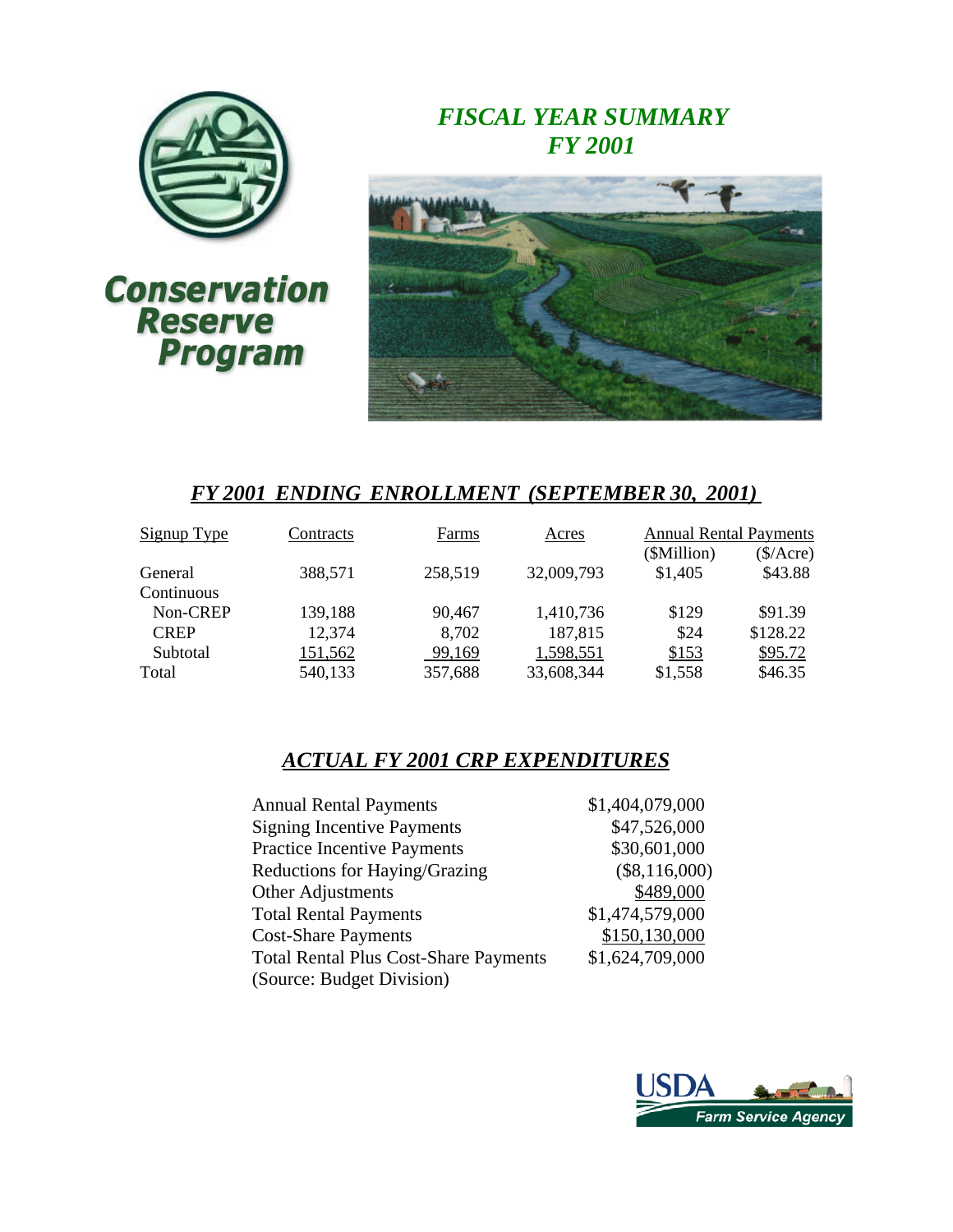

# *FISCAL YEAR SUMMARY FY 2001*



# *FY 2001 ENDING ENROLLMENT (SEPTEMBER 30, 2001)*

| Signup Type | Contracts | Farms   | Acres      | <b>Annual Rental Payments</b> |              |
|-------------|-----------|---------|------------|-------------------------------|--------------|
|             |           |         |            | (\$Million)                   | $(\$/Arcre)$ |
| General     | 388,571   | 258,519 | 32,009,793 | \$1,405                       | \$43.88      |
| Continuous  |           |         |            |                               |              |
| Non-CREP    | 139,188   | 90,467  | 1,410,736  | \$129                         | \$91.39      |
| <b>CREP</b> | 12,374    | 8,702   | 187,815    | \$24                          | \$128.22     |
| Subtotal    | 151,562   | 99,169  | 1,598,551  | \$153                         | \$95.72      |
| Total       | 540,133   | 357,688 | 33,608,344 | \$1,558                       | \$46.35      |

# *ACTUAL FY 2001 CRP EXPENDITURES*

| <b>Annual Rental Payments</b>                | \$1,404,079,000 |
|----------------------------------------------|-----------------|
| <b>Signing Incentive Payments</b>            | \$47,526,000    |
| <b>Practice Incentive Payments</b>           | \$30,601,000    |
| Reductions for Haying/Grazing                | $(\$8,116,000)$ |
| Other Adjustments                            | \$489,000       |
| <b>Total Rental Payments</b>                 | \$1,474,579,000 |
| <b>Cost-Share Payments</b>                   | \$150,130,000   |
| <b>Total Rental Plus Cost-Share Payments</b> | \$1,624,709,000 |
| (Source: Budget Division)                    |                 |

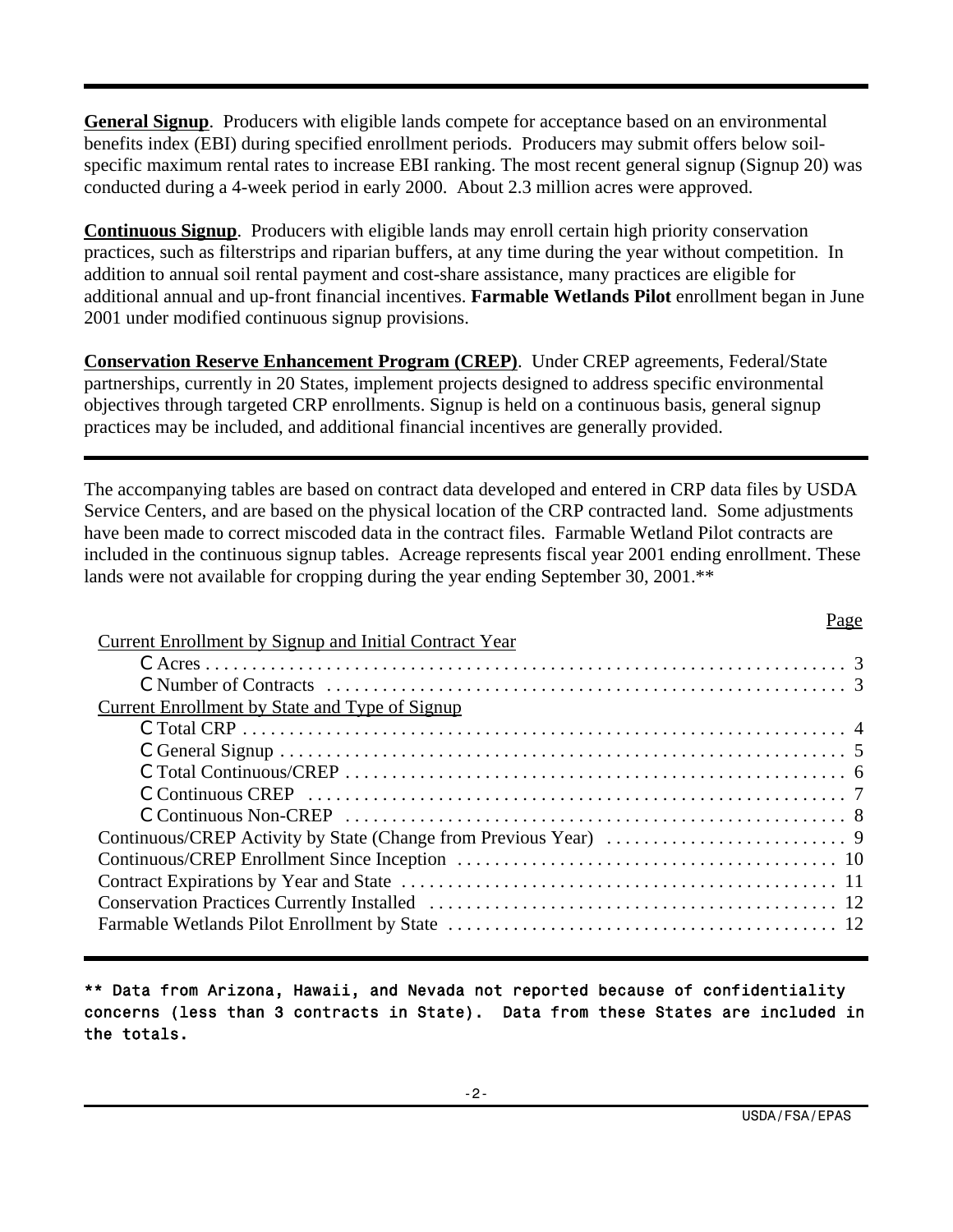**General Signup**. Producers with eligible lands compete for acceptance based on an environmental benefits index (EBI) during specified enrollment periods. Producers may submit offers below soilspecific maximum rental rates to increase EBI ranking. The most recent general signup (Signup 20) was conducted during a 4-week period in early 2000. About 2.3 million acres were approved.

**Continuous Signup**. Producers with eligible lands may enroll certain high priority conservation practices, such as filterstrips and riparian buffers, at any time during the year without competition. In addition to annual soil rental payment and cost-share assistance, many practices are eligible for additional annual and up-front financial incentives. **Farmable Wetlands Pilot** enrollment began in June 2001 under modified continuous signup provisions.

**Conservation Reserve Enhancement Program (CREP)**. Under CREP agreements, Federal/State partnerships, currently in 20 States, implement projects designed to address specific environmental objectives through targeted CRP enrollments. Signup is held on a continuous basis, general signup practices may be included, and additional financial incentives are generally provided.

The accompanying tables are based on contract data developed and entered in CRP data files by USDA Service Centers, and are based on the physical location of the CRP contracted land. Some adjustments have been made to correct miscoded data in the contract files. Farmable Wetland Pilot contracts are included in the continuous signup tables. Acreage represents fiscal year 2001 ending enrollment. These lands were not available for cropping during the year ending September 30, 2001.\*\*

| <u>Current Enrollment by Signup and Initial Contract Year</u> |  |
|---------------------------------------------------------------|--|
|                                                               |  |
|                                                               |  |
| <b>Current Enrollment by State and Type of Signup</b>         |  |
|                                                               |  |
|                                                               |  |
|                                                               |  |
|                                                               |  |
|                                                               |  |
|                                                               |  |
|                                                               |  |
|                                                               |  |
|                                                               |  |
|                                                               |  |
|                                                               |  |

\*\* Data from Arizona, Hawaii, and Nevada not reported because of confidentiality concerns (less than 3 contracts in State). Data from these States are included in the totals.

Page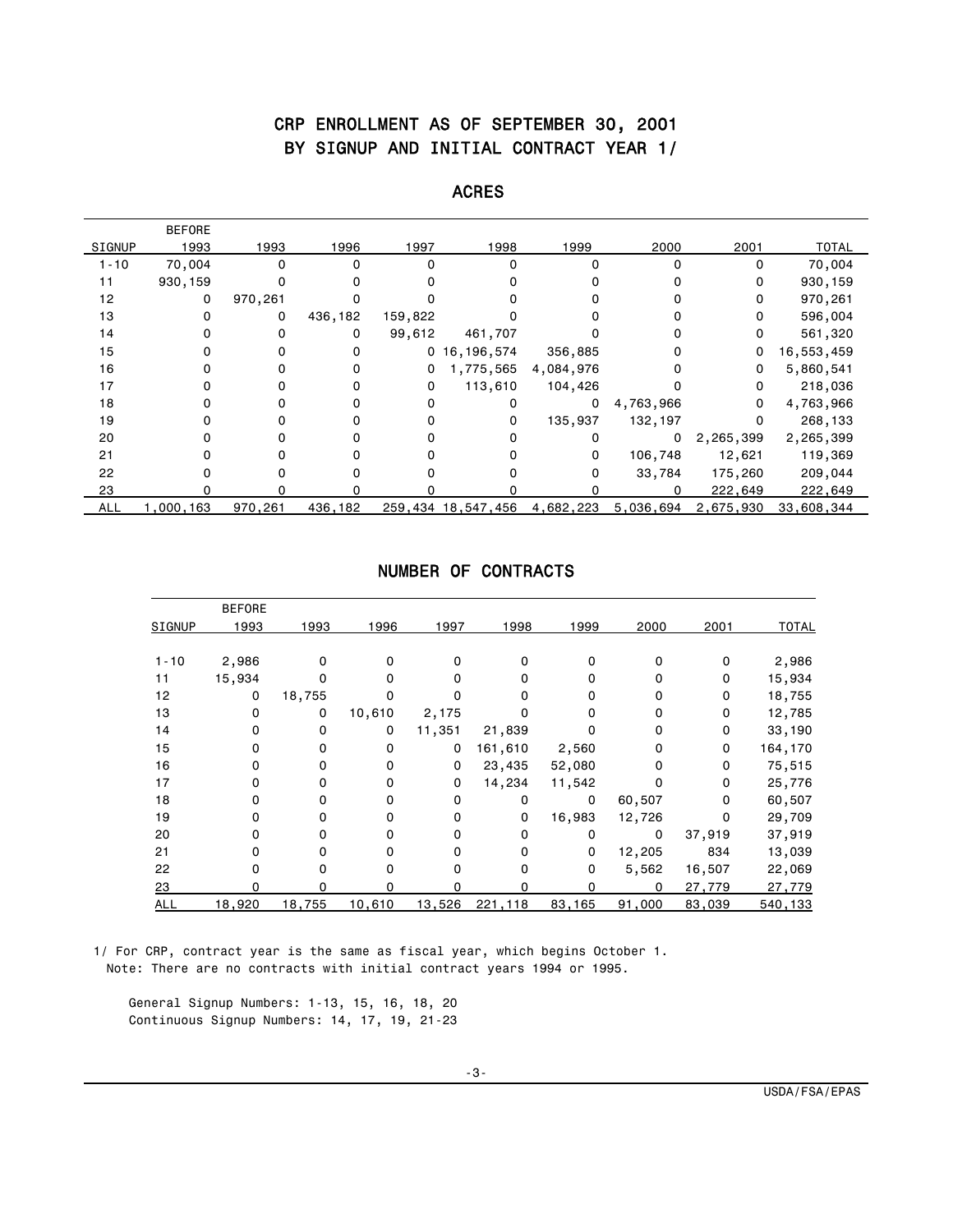# CRP ENROLLMENT AS OF SEPTEMBER 30, 2001 BY SIGNUP AND INITIAL CONTRACT YEAR 1/

|               | <b>BEFORE</b> |              |         |          |                    |              |           |           |              |
|---------------|---------------|--------------|---------|----------|--------------------|--------------|-----------|-----------|--------------|
| <b>SIGNUP</b> | 1993          | 1993         | 1996    | 1997     | 1998               | 1999         | 2000      | 2001      | <b>TOTAL</b> |
| $1 - 10$      | 70,004        | 0            | 0       | $\Omega$ | $\Omega$           | <sup>0</sup> | 0         | 0         | 70,004       |
| 11            | 930,159       | 0            |         |          |                    |              |           | 0         | 930,159      |
| 12            | 0             | 970,261      |         |          |                    |              |           | 0         | 970,261      |
| 13            |               | 0            | 436,182 | 159,822  |                    |              |           | 0         | 596,004      |
| 14            |               | 0            | 0       | 99,612   | 461,707            |              |           | 0         | 561,320      |
| 15            |               | 0            |         |          | 0, 16, 196, 574    | 356,885      |           | 0         | 16,553,459   |
| 16            |               | 0            |         | 0        | 1,775,565          | 4,084,976    | 0         | 0         | 5,860,541    |
| 17            |               | 0            |         | 0        | 113,610            | 104,426      |           | 0         | 218,036      |
| 18            |               | 0            |         | 0        |                    | 0            | 4,763,966 | 0         | 4,763,966    |
| 19            |               | 0            |         |          | 0                  | 135,937      | 132,197   | 0         | 268,133      |
| 20            |               | 0            |         |          | $\Omega$           | 0            | 0         | 2,265,399 | 2,265,399    |
| 21            |               | 0            |         |          |                    | 0            | 106,748   | 12,621    | 119,369      |
| 22            |               | <sup>0</sup> |         |          |                    | O            | 33,784    | 175,260   | 209,044      |
| 23            |               | ∩            |         |          |                    |              | ŋ         | 222,649   | 222,649      |
| <b>ALL</b>    | ,000,163      | 970,261      | 436,182 |          | 259,434 18,547,456 | 4,682,223    | 5,036,694 | 2,675,930 | 33,608,344   |

#### ACRES

## NUMBER OF CONTRACTS

|               | <b>BEFORE</b> |        |              |          |         |        |          |          |              |
|---------------|---------------|--------|--------------|----------|---------|--------|----------|----------|--------------|
| <b>SIGNUP</b> | 1993          | 1993   | 1996         | 1997     | 1998    | 1999   | 2000     | 2001     | <b>TOTAL</b> |
|               |               |        |              |          |         |        |          |          |              |
| $1 - 10$      | 2,986         | 0      | <sup>0</sup> | 0        | 0       | 0      | $\Omega$ | 0        | 2,986        |
| 11            | 15,934        | 0      |              | $\Omega$ | 0       | 0      | 0        | 0        | 15,934       |
| 12            | 0             | 18,755 |              | 0        | 0       | 0      | 0        | 0        | 18,755       |
| 13            | $\mathbf 0$   | 0      | 10,610       | 2,175    |         | 0      | 0        | $\Omega$ | 12,785       |
| 14            | 0             | 0      | 0            | 11,351   | 21,839  | o      | 0        | 0        | 33,190       |
| 15            | 0             | 0      | 0            | 0        | 161,610 | 2,560  | 0        | 0        | 164,170      |
| 16            | 0             | 0      | $\Omega$     | 0        | 23,435  | 52,080 | $\Omega$ | 0        | 75,515       |
| 17            | 0             | 0      | $\Omega$     | 0        | 14,234  | 11,542 | 0        | 0        | 25,776       |
| 18            | 0             | 0      | $\Omega$     | 0        | 0       | 0      | 60,507   | 0        | 60,507       |
| 19            | 0             | 0      | $\Omega$     | 0        | 0       | 16,983 | 12,726   | 0        | 29,709       |
| 20            | 0             | 0      | 0            | 0        | 0       | 0      | 0        | 37,919   | 37,919       |
| 21            | 0             | 0      | O            | 0        | 0       | 0      | 12,205   | 834      | 13,039       |
| 22            | O             | O      |              | O        | 0       | 0      | 5,562    | 16,507   | 22,069       |
| 23            | U             | n      | n            | n        | U       | O      | 0        | 27,779   | 27,779       |
| <b>ALL</b>    | 18,920        | 18,755 | 10,610       | 13,526   | 221,118 | 83,165 | 91,000   | 83,039   | 540,133      |

 1/ For CRP, contract year is the same as fiscal year, which begins October 1. Note: There are no contracts with initial contract years 1994 or 1995.

 General Signup Numbers: 1-13, 15, 16, 18, 20 Continuous Signup Numbers: 14, 17, 19, 21-23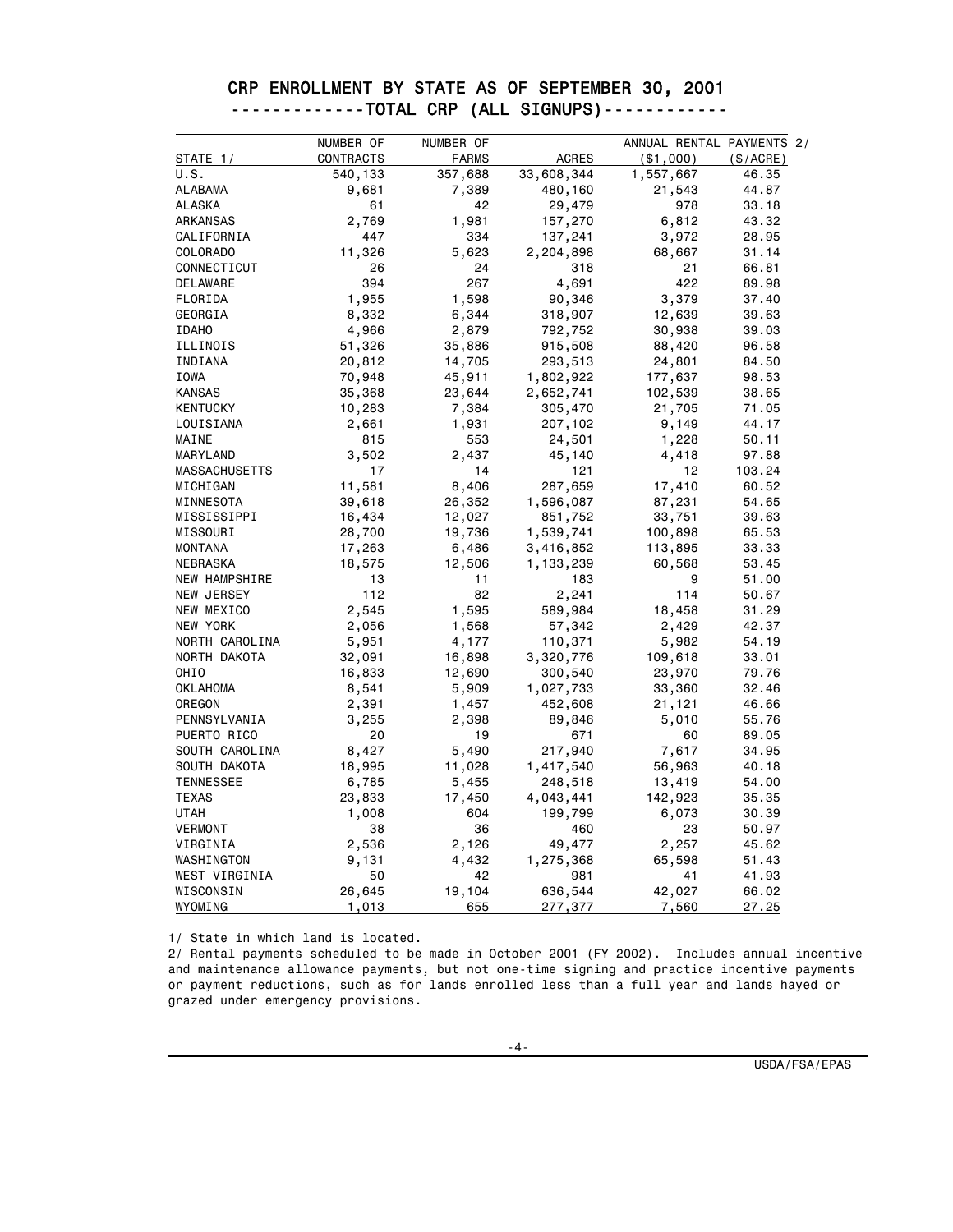|                      | NUMBER OF | NUMBER OF    |              | ANNUAL RENTAL PAYMENTS 2/ |          |
|----------------------|-----------|--------------|--------------|---------------------------|----------|
| STATE 1/             | CONTRACTS | <b>FARMS</b> | <b>ACRES</b> | ( \$1,000)                | (S/ACRE) |
| U.S.                 | 540,133   | 357,688      | 33,608,344   | 1,557,667                 | 46.35    |
| ALABAMA              | 9,681     | 7,389        | 480,160      | 21,543                    | 44.87    |
| <b>ALASKA</b>        | 61        | 42           | 29,479       | 978                       | 33.18    |
| ARKANSAS             | 2,769     | 1,981        | 157,270      | 6,812                     | 43.32    |
| CALIFORNIA           | 447       | 334          | 137,241      | 3,972                     | 28.95    |
| COLORADO             | 11,326    | 5,623        | 2,204,898    | 68,667                    | 31.14    |
| CONNECTICUT          | 26        | 24           | 318          | 21                        | 66.81    |
| DELAWARE             | 394       | 267          | 4,691        | 422                       | 89.98    |
| FLORIDA              | 1,955     | 1,598        | 90,346       | 3,379                     | 37.40    |
| GEORGIA              | 8,332     | 6,344        | 318,907      | 12,639                    | 39.63    |
| <b>IDAHO</b>         | 4,966     | 2,879        | 792,752      | 30,938                    | 39.03    |
| ILLINOIS             | 51,326    | 35,886       | 915,508      | 88,420                    | 96.58    |
| INDIANA              | 20,812    | 14,705       | 293,513      | 24,801                    | 84.50    |
| IOWA                 | 70,948    | 45,911       | 1,802,922    | 177,637                   | 98.53    |
| <b>KANSAS</b>        | 35,368    | 23,644       | 2,652,741    | 102,539                   | 38.65    |
| <b>KENTUCKY</b>      | 10,283    | 7,384        | 305,470      | 21,705                    | 71.05    |
| LOUISIANA            | 2,661     | 1,931        | 207,102      | 9,149                     | 44.17    |
| MAINE                | 815       | 553          | 24,501       | 1,228                     | 50.11    |
| MARYLAND             | 3,502     | 2,437        | 45,140       | 4,418                     | 97.88    |
| <b>MASSACHUSETTS</b> | 17        | 14           | 121          | 12                        | 103.24   |
| MICHIGAN             | 11,581    | 8,406        | 287,659      | 17,410                    | 60.52    |
| MINNESOTA            | 39,618    | 26,352       | 1,596,087    | 87,231                    | 54.65    |
| MISSISSIPPI          | 16,434    | 12,027       | 851,752      | 33,751                    | 39.63    |
| MISSOURI             | 28,700    | 19,736       | 1,539,741    | 100,898                   | 65.53    |
| <b>MONTANA</b>       | 17,263    | 6,486        | 3,416,852    | 113,895                   | 33.33    |
| NEBRASKA             | 18,575    | 12,506       | 1,133,239    | 60,568                    | 53.45    |
| <b>NEW HAMPSHIRE</b> | 13        | 11           | 183          | 9                         | 51.00    |
| NEW JERSEY           | 112       | 82           | 2,241        | 114                       | 50.67    |
| NEW MEXICO           | 2,545     | 1,595        | 589,984      | 18,458                    | 31.29    |
| NEW YORK             | 2,056     | 1,568        | 57,342       | 2,429                     | 42.37    |
| NORTH CAROLINA       | 5,951     | 4,177        | 110,371      | 5,982                     | 54.19    |
| NORTH DAKOTA         | 32,091    | 16,898       | 3,320,776    | 109,618                   | 33.01    |
| OHIO                 | 16,833    | 12,690       | 300,540      | 23,970                    | 79.76    |
| <b>OKLAHOMA</b>      | 8,541     | 5,909        | 1,027,733    | 33,360                    | 32.46    |
| OREGON               | 2,391     | 1,457        | 452,608      | 21,121                    | 46.66    |
| PENNSYLVANIA         | 3,255     | 2,398        | 89,846       | 5,010                     | 55.76    |
| PUERTO RICO          | 20        | 19           | 671          | 60                        | 89.05    |
| SOUTH CAROLINA       | 8,427     | 5,490        | 217,940      | 7,617                     | 34.95    |
| SOUTH DAKOTA         | 18,995    | 11,028       | 1,417,540    | 56,963                    | 40.18    |
| <b>TENNESSEE</b>     | 6,785     | 5,455        | 248,518      | 13,419                    | 54.00    |
| <b>TEXAS</b>         | 23,833    | 17,450       | 4,043,441    | 142,923                   | 35.35    |
| <b>UTAH</b>          | 1,008     | 604          | 199,799      | 6,073                     | 30.39    |
| VERMONT              | 38        | 36           | 460          | 23                        | 50.97    |
| VIRGINIA             | 2,536     | 2,126        | 49,477       | 2,257                     | 45.62    |
| WASHINGTON           | 9,131     | 4,432        | 1,275,368    | 65,598                    | 51.43    |
| WEST VIRGINIA        | 50        | 42           | 981          | 41                        | 41.93    |
| WISCONSIN            | 26,645    | 19,104       | 636,544      | 42,027                    | 66.02    |
| WYOMING              | 1,013     | 655          | 277,377      | 7,560                     | 27.25    |

#### CRP ENROLLMENT BY STATE AS OF SEPTEMBER 30, 2001 -------------TOTAL CRP (ALL SIGNUPS)------------

1/ State in which land is located.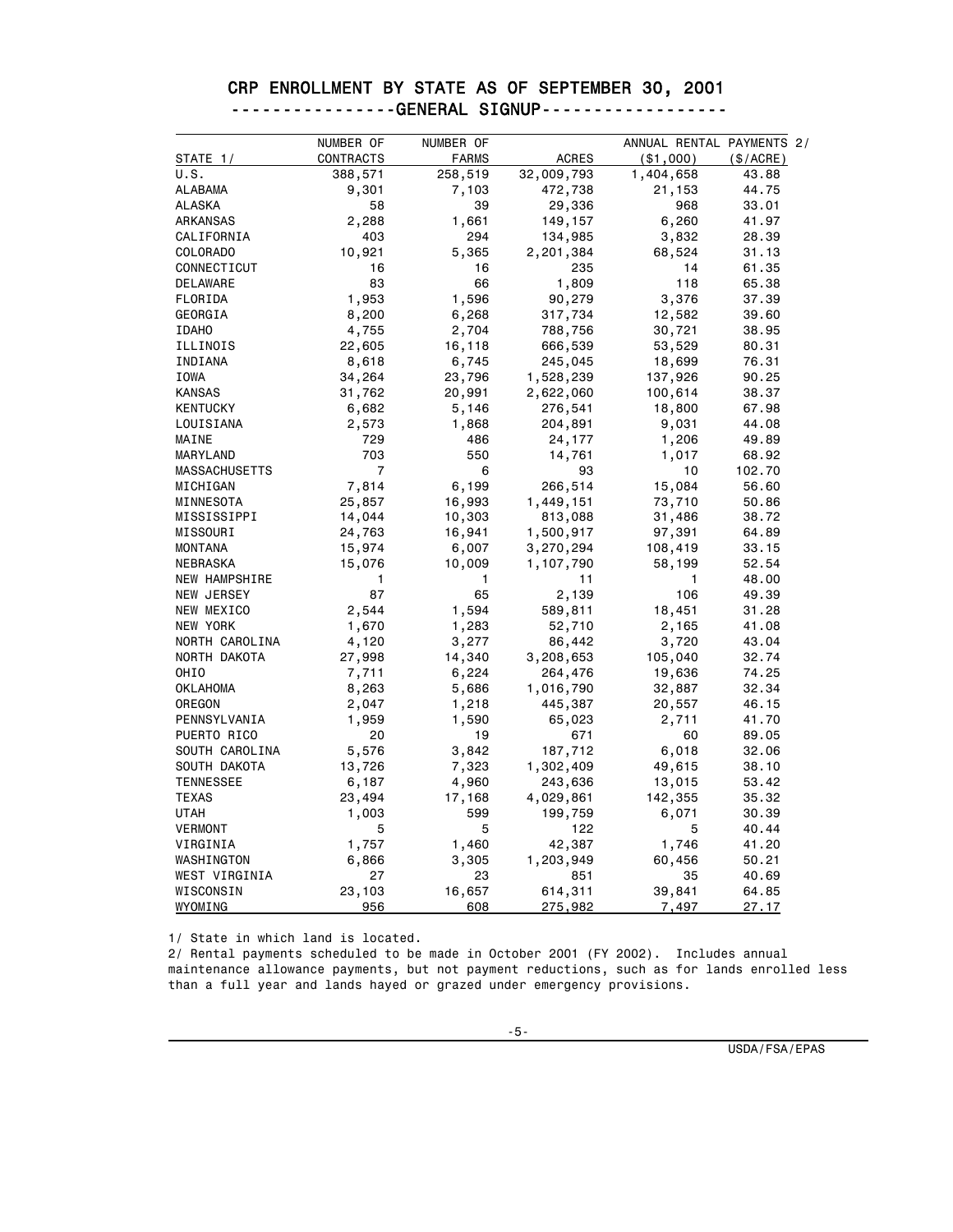|  | CRP ENROLLMENT BY STATE AS OF SEPTEMBER 30, 2001 |  |  |  |  |
|--|--------------------------------------------------|--|--|--|--|
|  | ---------------GENERAL SIGNUP------------------  |  |  |  |  |

|                  | NUMBER OF      | NUMBER OF    |              | ANNUAL RENTAL PAYMENTS 2/ |           |
|------------------|----------------|--------------|--------------|---------------------------|-----------|
| STATE 1          | CONTRACTS      | <b>FARMS</b> | <b>ACRES</b> | ( \$1,000)                | (\$/ACRE) |
| U.S.             | 388,571        | 258,519      | 32,009,793   | 1,404,658                 | 43.88     |
| <b>ALABAMA</b>   | 9,301          | 7,103        | 472,738      | 21,153                    | 44.75     |
| <b>ALASKA</b>    | 58             | 39           | 29,336       | 968                       | 33.01     |
| ARKANSAS         | 2,288          | 1,661        | 149,157      | 6,260                     | 41.97     |
| CALIFORNIA       | 403            | 294          | 134,985      | 3,832                     | 28.39     |
| COLORADO         | 10,921         | 5,365        | 2,201,384    | 68,524                    | 31.13     |
| CONNECTICUT      | 16             | 16           | 235          | 14                        | 61.35     |
| DELAWARE         | 83             | 66           | 1,809        | 118                       | 65.38     |
| FLORIDA          | 1,953          | 1,596        | 90,279       | 3,376                     | 37.39     |
| GEORGIA          | 8,200          | 6,268        | 317,734      | 12,582                    | 39.60     |
| <b>IDAHO</b>     | 4,755          | 2,704        | 788,756      | 30,721                    | 38.95     |
| ILLINOIS         | 22,605         | 16,118       | 666,539      | 53,529                    | 80.31     |
| INDIANA          | 8,618          | 6,745        | 245,045      | 18,699                    | 76.31     |
| IOWA             | 34,264         | 23,796       | 1,528,239    | 137,926                   | 90.25     |
| <b>KANSAS</b>    | 31,762         | 20,991       | 2,622,060    | 100,614                   | 38.37     |
| KENTUCKY         | 6,682          | 5,146        | 276,541      | 18,800                    | 67.98     |
| LOUISIANA        | 2,573          | 1,868        | 204,891      | 9,031                     | 44.08     |
| MAINE            | 729            | 486          | 24,177       | 1,206                     | 49.89     |
| MARYLAND         | 703            | 550          | 14,761       | 1,017                     | 68.92     |
| MASSACHUSETTS    | $\overline{7}$ | 6            | 93           | 10                        | 102.70    |
| MICHIGAN         | 7,814          | 6,199        | 266,514      | 15,084                    | 56.60     |
| MINNESOTA        | 25,857         | 16,993       | 1,449,151    | 73,710                    | 50.86     |
| MISSISSIPPI      | 14,044         | 10,303       | 813,088      | 31,486                    | 38.72     |
| MISSOURI         | 24,763         | 16,941       | 1,500,917    | 97,391                    | 64.89     |
| <b>MONTANA</b>   | 15,974         | 6,007        | 3,270,294    | 108,419                   | 33.15     |
| NEBRASKA         | 15,076         | 10,009       | 1,107,790    | 58,199                    | 52.54     |
| NEW HAMPSHIRE    | 1              | 1            | 11           | 1                         | 48.00     |
| NEW JERSEY       | 87             | 65           | 2,139        | 106                       | 49.39     |
| NEW MEXICO       | 2,544          | 1,594        | 589,811      | 18,451                    | 31.28     |
| NEW YORK         | 1,670          | 1,283        | 52,710       | 2,165                     | 41.08     |
| NORTH CAROLINA   | 4,120          | 3,277        | 86,442       | 3,720                     | 43.04     |
| NORTH DAKOTA     | 27,998         | 14,340       | 3,208,653    | 105,040                   | 32.74     |
| OHIO             | 7,711          | 6,224        | 264,476      | 19,636                    | 74.25     |
| <b>OKLAHOMA</b>  | 8,263          | 5,686        | 1,016,790    | 32,887                    | 32.34     |
| OREGON           | 2,047          | 1,218        | 445,387      | 20,557                    | 46.15     |
| PENNSYLVANIA     | 1,959          | 1,590        | 65,023       | 2,711                     | 41.70     |
| PUERTO RICO      | 20             | 19           | 671          | 60                        | 89.05     |
| SOUTH CAROLINA   | 5,576          | 3,842        | 187,712      | 6,018                     | 32.06     |
| SOUTH DAKOTA     | 13,726         | 7,323        | 1,302,409    | 49,615                    | 38.10     |
| <b>TENNESSEE</b> | 6,187          | 4,960        | 243,636      | 13,015                    | 53.42     |
| <b>TEXAS</b>     | 23,494         | 17,168       | 4,029,861    | 142,355                   | 35.32     |
| UTAH             | 1,003          | 599          | 199,759      | 6,071                     | 30.39     |
| VERMONT          | 5              | 5            | 122          | 5                         | 40.44     |
| VIRGINIA         | 1,757          | 1,460        | 42,387       | 1,746                     | 41.20     |
| WASHINGTON       | 6,866          | 3,305        | 1,203,949    | 60,456                    | 50.21     |
| WEST VIRGINIA    | 27             | 23           | 851          | 35                        | 40.69     |
| WISCONSIN        | 23,103         | 16,657       | 614,311      | 39,841                    | 64.85     |
| WYOMING          | 956            | 608          | 275,982      | 7,497                     | 27.17     |

1/ State in which land is located.

2/ Rental payments scheduled to be made in October 2001 (FY 2002). Includes annual maintenance allowance payments, but not payment reductions, such as for lands enrolled less than a full year and lands hayed or grazed under emergency provisions.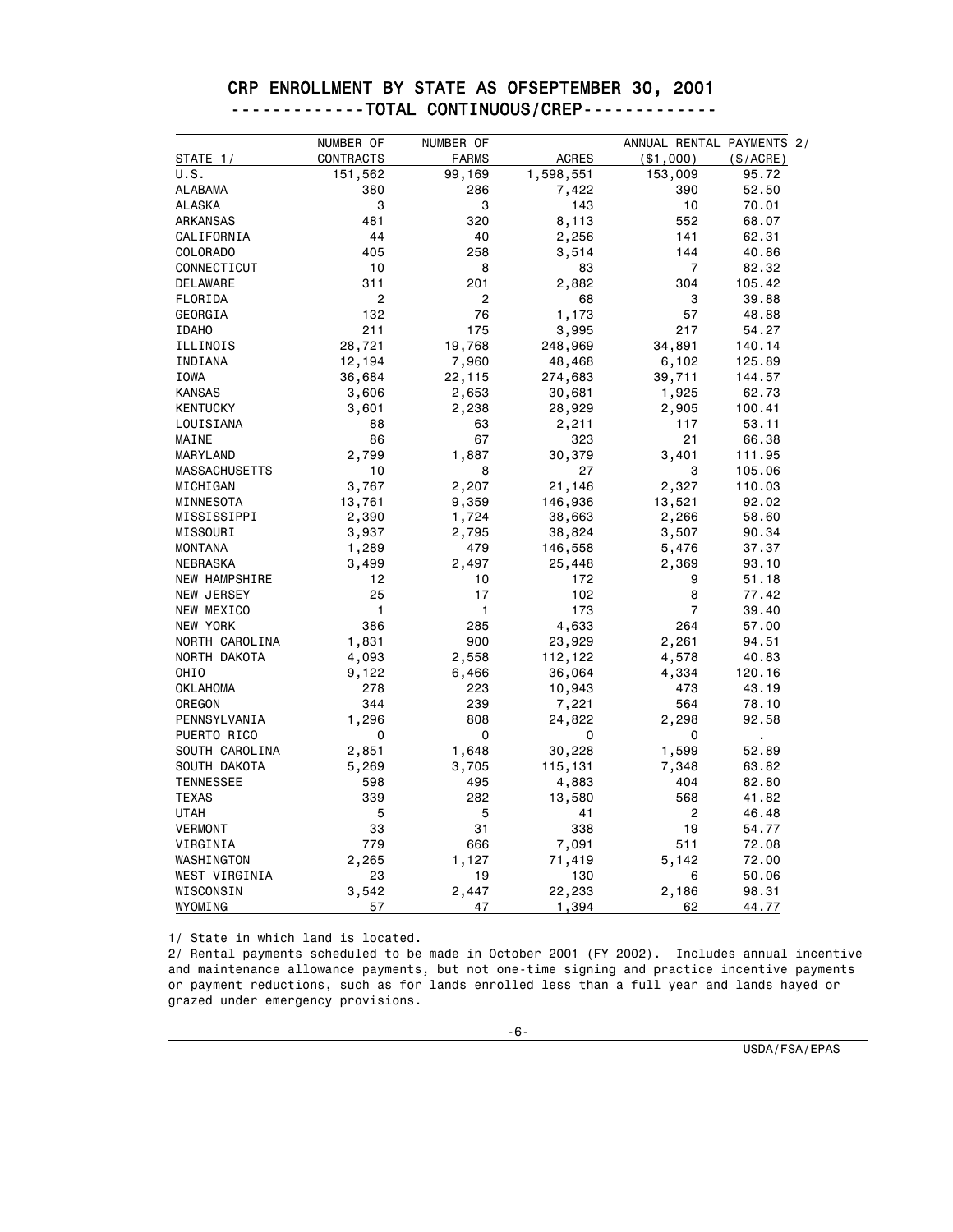|                      | NUMBER OF      | NUMBER OF    |              | ANNUAL RENTAL PAYMENTS 2/ |           |
|----------------------|----------------|--------------|--------------|---------------------------|-----------|
| <b>STATE 1/</b>      | CONTRACTS      | <b>FARMS</b> | <b>ACRES</b> | ( \$1,000)                | (\$/ACRE) |
| U.S.                 | 151,562        | 99,169       | 1,598,551    | 153,009                   | 95.72     |
| ALABAMA              | 380            | 286          | 7,422        | 390                       | 52.50     |
| <b>ALASKA</b>        | 3              | 3            | 143          | 10                        | 70.01     |
| ARKANSAS             | 481            | 320          | 8,113        | 552                       | 68.07     |
| CALIFORNIA           | 44             | 40           | 2,256        | 141                       | 62.31     |
| <b>COLORADO</b>      | 405            | 258          | 3,514        | 144                       | 40.86     |
| CONNECTICUT          | 10             | 8            | 83           | $\overline{7}$            | 82.32     |
| DELAWARE             | 311            | 201          | 2,882        | 304                       | 105.42    |
| FLORIDA              | $\overline{c}$ | 2            | 68           | 3                         | 39.88     |
| GEORGIA              | 132            | 76           | 1,173        | 57                        | 48.88     |
| <b>IDAHO</b>         | 211            | 175          | 3,995        | 217                       | 54.27     |
| ILLINOIS             | 28,721         | 19,768       | 248,969      | 34,891                    | 140.14    |
| INDIANA              | 12,194         | 7,960        | 48,468       | 6,102                     | 125.89    |
| IOWA                 | 36,684         | 22,115       | 274,683      | 39,711                    | 144.57    |
| <b>KANSAS</b>        | 3,606          | 2,653        | 30,681       | 1,925                     | 62.73     |
| <b>KENTUCKY</b>      | 3,601          | 2,238        | 28,929       | 2,905                     | 100.41    |
| LOUISIANA            | 88             | 63           | 2,211        | 117                       | 53.11     |
| MAINE                | 86             | 67           | 323          | 21                        | 66.38     |
| MARYLAND             | 2,799          | 1,887        | 30,379       | 3,401                     | 111.95    |
| <b>MASSACHUSETTS</b> | 10             | 8            | 27           | 3                         | 105.06    |
| MICHIGAN             | 3,767          | 2,207        | 21,146       | 2,327                     | 110.03    |
| MINNESOTA            | 13,761         | 9,359        | 146,936      | 13,521                    | 92.02     |
| MISSISSIPPI          | 2,390          | 1,724        | 38,663       | 2,266                     | 58.60     |
| MISSOURI             | 3,937          | 2,795        | 38,824       | 3,507                     | 90.34     |
| <b>MONTANA</b>       | 1,289          | 479          | 146,558      | 5,476                     | 37.37     |
| NEBRASKA             | 3,499          | 2,497        | 25,448       | 2,369                     | 93.10     |
| NEW HAMPSHIRE        | 12             | 10           | 172          | 9                         | 51.18     |
| NEW JERSEY           | 25             | 17           | 102          | 8                         | 77.42     |
| NEW MEXICO           | 1              | 1            | 173          | $\overline{7}$            | 39.40     |
| NEW YORK             | 386            | 285          | 4,633        | 264                       | 57.00     |
| NORTH CAROLINA       | 1,831          | 900          | 23,929       | 2,261                     | 94.51     |
| NORTH DAKOTA         | 4,093          | 2,558        | 112,122      | 4,578                     | 40.83     |
| OHIO                 | 9,122          | 6,466        | 36,064       | 4,334                     | 120.16    |
| <b>OKLAHOMA</b>      | 278            | 223          | 10,943       | 473                       | 43.19     |
| OREGON               | 344            | 239          | 7,221        | 564                       | 78.10     |
| PENNSYLVANIA         | 1,296          | 808          | 24,822       | 2,298                     | 92.58     |
| PUERTO RICO          | 0              | 0            | 0            | 0                         | ä,        |
| SOUTH CAROLINA       | 2,851          | 1,648        | 30,228       | 1,599                     | 52.89     |
| SOUTH DAKOTA         | 5,269          | 3,705        | 115,131      | 7,348                     | 63.82     |
| <b>TENNESSEE</b>     | 598            | 495          | 4,883        | 404                       | 82.80     |
| <b>TEXAS</b>         | 339            | 282          | 13,580       | 568                       | 41.82     |
| <b>UTAH</b>          | 5              | 5            | 41           | $\overline{c}$            | 46.48     |
| <b>VERMONT</b>       | 33             | 31           | 338          | 19                        | 54.77     |
| VIRGINIA             | 779            | 666          | 7,091        | 511                       | 72.08     |
| WASHINGTON           | 2,265          | 1,127        | 71,419       | 5,142                     | 72.00     |
| WEST VIRGINIA        | 23             | 19           | 130          | 6                         | 50.06     |
| WISCONSIN            | 3,542          | 2,447        | 22,233       | 2,186                     | 98.31     |
| WYOMING              | 57             | 47           | 1,394        | 62                        | 44.77     |

#### CRP ENROLLMENT BY STATE AS OFSEPTEMBER 30, 2001 -------------TOTAL CONTINUOUS/CREP-------------

1/ State in which land is located.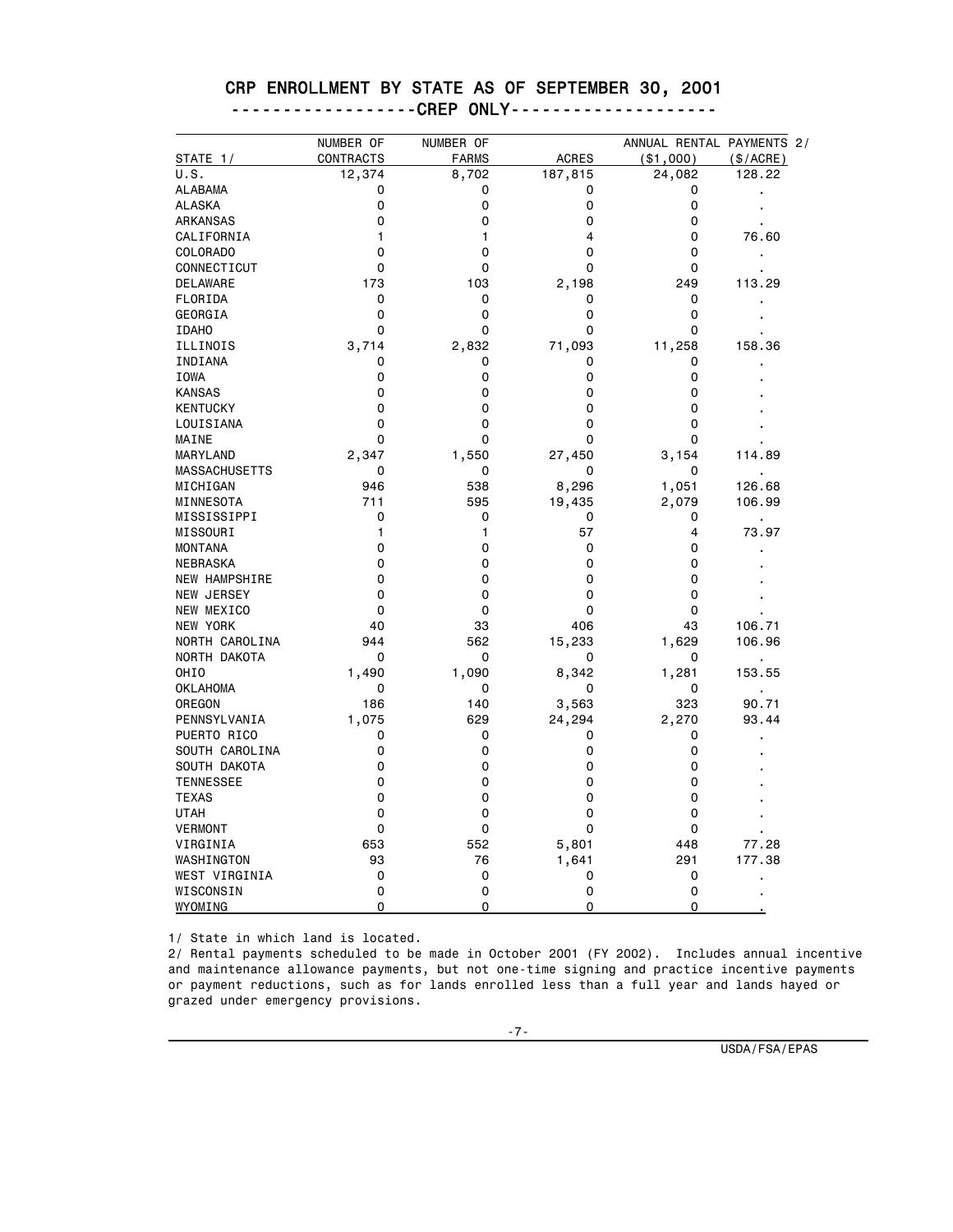|                      | NUMBER OF   | NUMBER OF    |              | ANNUAL RENTAL PAYMENTS 2/ |                |
|----------------------|-------------|--------------|--------------|---------------------------|----------------|
| STATE 1/             | CONTRACTS   | <b>FARMS</b> | <b>ACRES</b> | ( \$1,000)                | (\$/ACRE)      |
| U.S.                 | 12,374      | 8,702        | 187,815      | 24,082                    | 128.22         |
| <b>ALABAMA</b>       | 0           | 0            | 0            | 0                         |                |
| <b>ALASKA</b>        | 0           | 0            | 0            | 0                         |                |
| ARKANSAS             | 0           | 0            | 0            | 0                         |                |
| CALIFORNIA           | 1           | $\mathbf{1}$ | 4            | 0                         | 76.60          |
| <b>COLORADO</b>      | 0           | 0            | 0            | 0                         | $\blacksquare$ |
| CONNECTICUT          | 0           | 0            | 0            | 0                         | $\blacksquare$ |
| DELAWARE             | 173         | 103          | 2,198        | 249                       | 113.29         |
| FLORIDA              | 0           | 0            | 0            | 0                         | $\blacksquare$ |
| GEORGIA              | 0           | 0            | 0            | 0                         |                |
| <b>IDAHO</b>         | 0           | 0            | 0            | 0                         |                |
| ILLINOIS             | 3,714       | 2,832        | 71,093       | 11,258                    | 158.36         |
| INDIANA              | 0           | 0            | 0            | 0                         |                |
| <b>IOWA</b>          | 0           | 0            | 0            | 0                         |                |
| <b>KANSAS</b>        | 0           | 0            | 0            | 0                         |                |
| <b>KENTUCKY</b>      | 0           | 0            | 0            | 0                         |                |
| LOUISIANA            | 0           | $\mathbf 0$  | 0            | 0                         |                |
| MAINE                | 0           | 0            | 0            | 0                         |                |
| MARYLAND             | 2,347       | 1,550        | 27,450       | 3,154                     | 114.89         |
| <b>MASSACHUSETTS</b> | 0           | 0            | 0            | 0                         | $\blacksquare$ |
| MICHIGAN             | 946         | 538          | 8,296        | 1,051                     | 126.68         |
| MINNESOTA            | 711         | 595          | 19,435       | 2,079                     | 106.99         |
| MISSISSIPPI          | $\mathbf 0$ | 0            | 0            | 0                         | $\blacksquare$ |
| MISSOURI             | 1           | $\mathbf{1}$ | 57           | 4                         | 73.97          |
| <b>MONTANA</b>       | 0           | 0            | 0            | 0                         |                |
| NEBRASKA             | 0           | 0            | 0            | 0                         |                |
| <b>NEW HAMPSHIRE</b> | 0           | 0            | 0            | 0                         |                |
| NEW JERSEY           | 0           | 0            | 0            | 0                         |                |
| NEW MEXICO           | $\mathbf 0$ | $\mathbf 0$  | 0            | 0                         |                |
| NEW YORK             | 40          | 33           | 406          | 43                        | 106.71         |
| NORTH CAROLINA       | 944         | 562          | 15,233       | 1,629                     | 106.96         |
| NORTH DAKOTA         | 0           | 0            | 0            | 0                         | ä,             |
| OHIO                 | 1,490       | 1,090        | 8,342        | 1,281                     | 153.55         |
| <b>OKLAHOMA</b>      | 0           | 0            | 0            | 0                         |                |
| OREGON               | 186         | 140          | 3,563        | 323                       | 90.71          |
| PENNSYLVANIA         | 1,075       | 629          | 24,294       | 2,270                     | 93.44          |
| PUERTO RICO          | 0           | 0            | 0            | 0                         |                |
| SOUTH CAROLINA       | 0           | 0            | 0            | 0                         |                |
| SOUTH DAKOTA         | 0           | 0            | 0            | 0                         |                |
| <b>TENNESSEE</b>     | 0           | 0            | 0            | 0                         |                |
| <b>TEXAS</b>         | 0           | 0            | 0            | 0                         |                |
| <b>UTAH</b>          | 0           | 0            | 0            | 0                         |                |
| <b>VERMONT</b>       | 0           | 0            | 0            | 0                         |                |
| VIRGINIA             | 653         | 552          | 5,801        | 448                       | 77.28          |
| WASHINGTON           | 93          | 76           | 1,641        | 291                       | 177.38         |
| WEST VIRGINIA        | 0           | 0            | 0            | 0                         |                |
| WISCONSIN            | 0           | 0            | 0            | 0                         |                |
| WYOMING              | 0           | $\Omega$     | 0            | 0                         |                |

#### CRP ENROLLMENT BY STATE AS OF SEPTEMBER 30, 2001 ------------------CREP ONLY--------------------

1/ State in which land is located.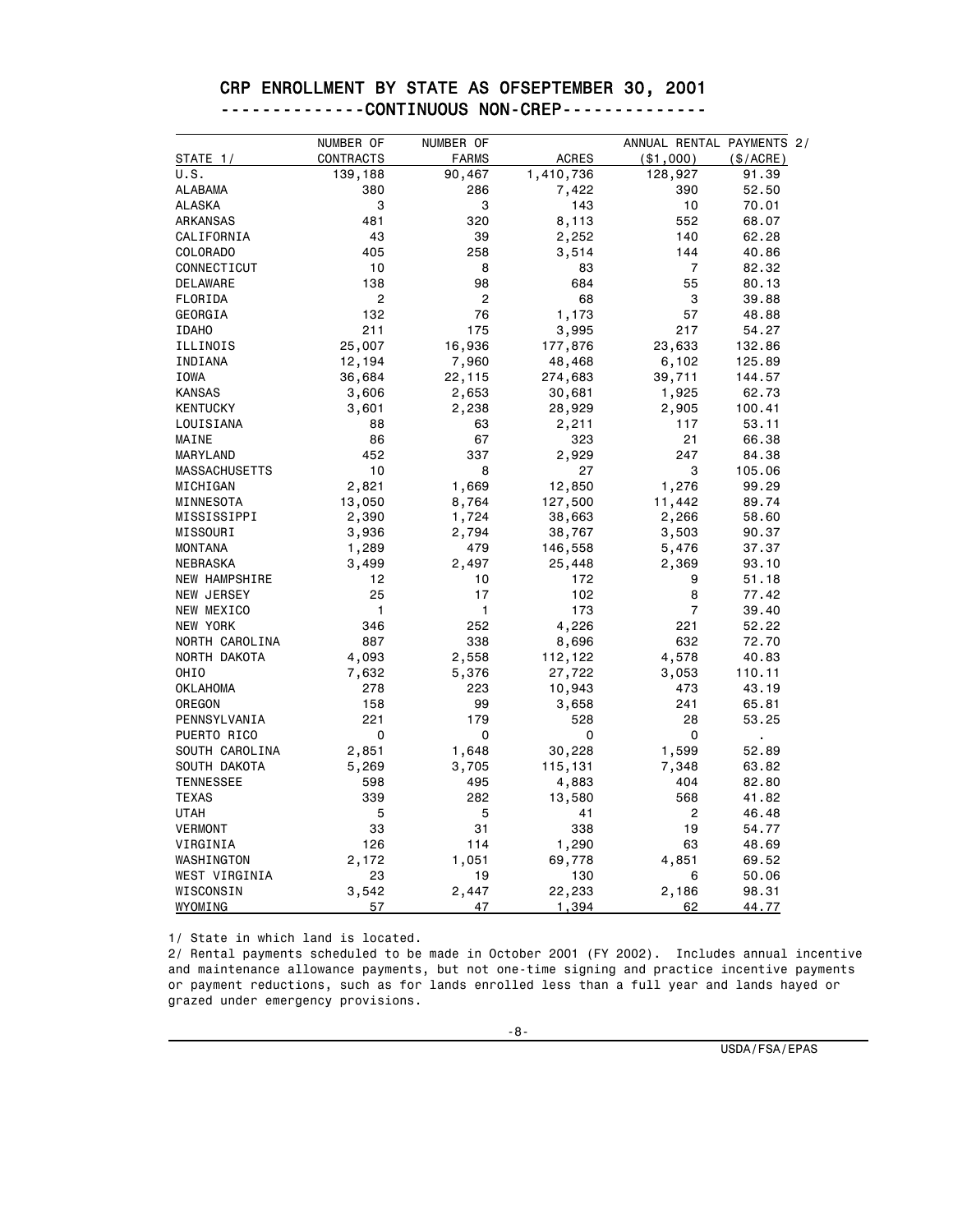|                      | NUMBER OF      | NUMBER OF    |              | ANNUAL RENTAL PAYMENTS 2/ |           |
|----------------------|----------------|--------------|--------------|---------------------------|-----------|
| STATE 1/             | CONTRACTS      | <b>FARMS</b> | <b>ACRES</b> | ( \$1,000)                | (\$/ACRE) |
| U.S.                 | 139,188        | 90,467       | 1,410,736    | 128,927                   | 91.39     |
| ALABAMA              | 380            | 286          | 7,422        | 390                       | 52.50     |
| <b>ALASKA</b>        | 3              | 3            | 143          | 10                        | 70.01     |
| ARKANSAS             | 481            | 320          | 8,113        | 552                       | 68.07     |
| CALIFORNIA           | 43             | 39           | 2,252        | 140                       | 62.28     |
| <b>COLORADO</b>      | 405            | 258          | 3,514        | 144                       | 40.86     |
| CONNECTICUT          | 10             | 8            | 83           | $\overline{7}$            | 82.32     |
| DELAWARE             | 138            | 98           | 684          | 55                        | 80.13     |
| FLORIDA              | $\overline{c}$ | 2            | 68           | 3                         | 39.88     |
| GEORGIA              | 132            | 76           | 1,173        | 57                        | 48.88     |
| <b>IDAHO</b>         | 211            | 175          | 3,995        | 217                       | 54.27     |
| ILLINOIS             | 25,007         | 16,936       | 177,876      | 23,633                    | 132.86    |
| INDIANA              | 12,194         | 7,960        | 48,468       | 6,102                     | 125.89    |
| IOWA                 | 36,684         | 22,115       | 274,683      | 39,711                    | 144.57    |
| <b>KANSAS</b>        | 3,606          | 2,653        | 30,681       | 1,925                     | 62.73     |
| <b>KENTUCKY</b>      | 3,601          | 2,238        | 28,929       | 2,905                     | 100.41    |
| LOUISIANA            | 88             | 63           | 2,211        | 117                       | 53.11     |
| MAINE                | 86             | 67           | 323          | 21                        | 66.38     |
| MARYLAND             | 452            | 337          | 2,929        | 247                       | 84.38     |
| <b>MASSACHUSETTS</b> | 10             | 8            | 27           | 3                         | 105.06    |
| MICHIGAN             | 2,821          | 1,669        | 12,850       | 1,276                     | 99.29     |
| MINNESOTA            | 13,050         | 8,764        | 127,500      | 11,442                    | 89.74     |
| MISSISSIPPI          | 2,390          | 1,724        | 38,663       | 2,266                     | 58.60     |
| MISSOURI             | 3,936          | 2,794        | 38,767       | 3,503                     | 90.37     |
| <b>MONTANA</b>       | 1,289          | 479          | 146,558      | 5,476                     | 37.37     |
| NEBRASKA             | 3,499          | 2,497        | 25,448       | 2,369                     | 93.10     |
| <b>NEW HAMPSHIRE</b> | 12             | 10           | 172          | 9                         | 51.18     |
| NEW JERSEY           | 25             | 17           | 102          | 8                         | 77.42     |
| NEW MEXICO           | 1              | 1            | 173          | $\overline{7}$            | 39.40     |
| NEW YORK             | 346            | 252          | 4,226        | 221                       | 52.22     |
| NORTH CAROLINA       | 887            | 338          | 8,696        | 632                       | 72.70     |
| NORTH DAKOTA         | 4,093          | 2,558        | 112,122      | 4,578                     | 40.83     |
| OHIO                 | 7,632          | 5,376        | 27,722       | 3,053                     | 110.11    |
| <b>OKLAHOMA</b>      | 278            | 223          | 10,943       | 473                       | 43.19     |
| OREGON               | 158            | 99           | 3,658        | 241                       | 65.81     |
| PENNSYLVANIA         | 221            | 179          | 528          | 28                        | 53.25     |
| PUERTO RICO          | 0              | 0            | 0            | 0                         | ×,        |
| SOUTH CAROLINA       | 2,851          | 1,648        | 30,228       | 1,599                     | 52.89     |
| SOUTH DAKOTA         | 5,269          | 3,705        | 115,131      | 7,348                     | 63.82     |
| <b>TENNESSEE</b>     | 598            | 495          | 4,883        | 404                       | 82.80     |
| <b>TEXAS</b>         | 339            | 282          | 13,580       | 568                       | 41.82     |
| <b>UTAH</b>          | 5              | 5            | 41           | $\overline{c}$            | 46.48     |
| <b>VERMONT</b>       | 33             | 31           | 338          | 19                        | 54.77     |
| VIRGINIA             | 126            | 114          | 1,290        | 63                        | 48.69     |
| WASHINGTON           | 2,172          | 1,051        | 69,778       | 4,851                     | 69.52     |
| WEST VIRGINIA        | 23             | 19           | 130          | 6                         | 50.06     |
| WISCONSIN            | 3,542          | 2,447        | 22,233       | 2,186                     | 98.31     |
| WYOMING              | 57             | 47           | 1,394        | 62                        | 44.77     |

#### CRP ENROLLMENT BY STATE AS OFSEPTEMBER 30, 2001 --------------CONTINUOUS NON-CREP--------------

1/ State in which land is located.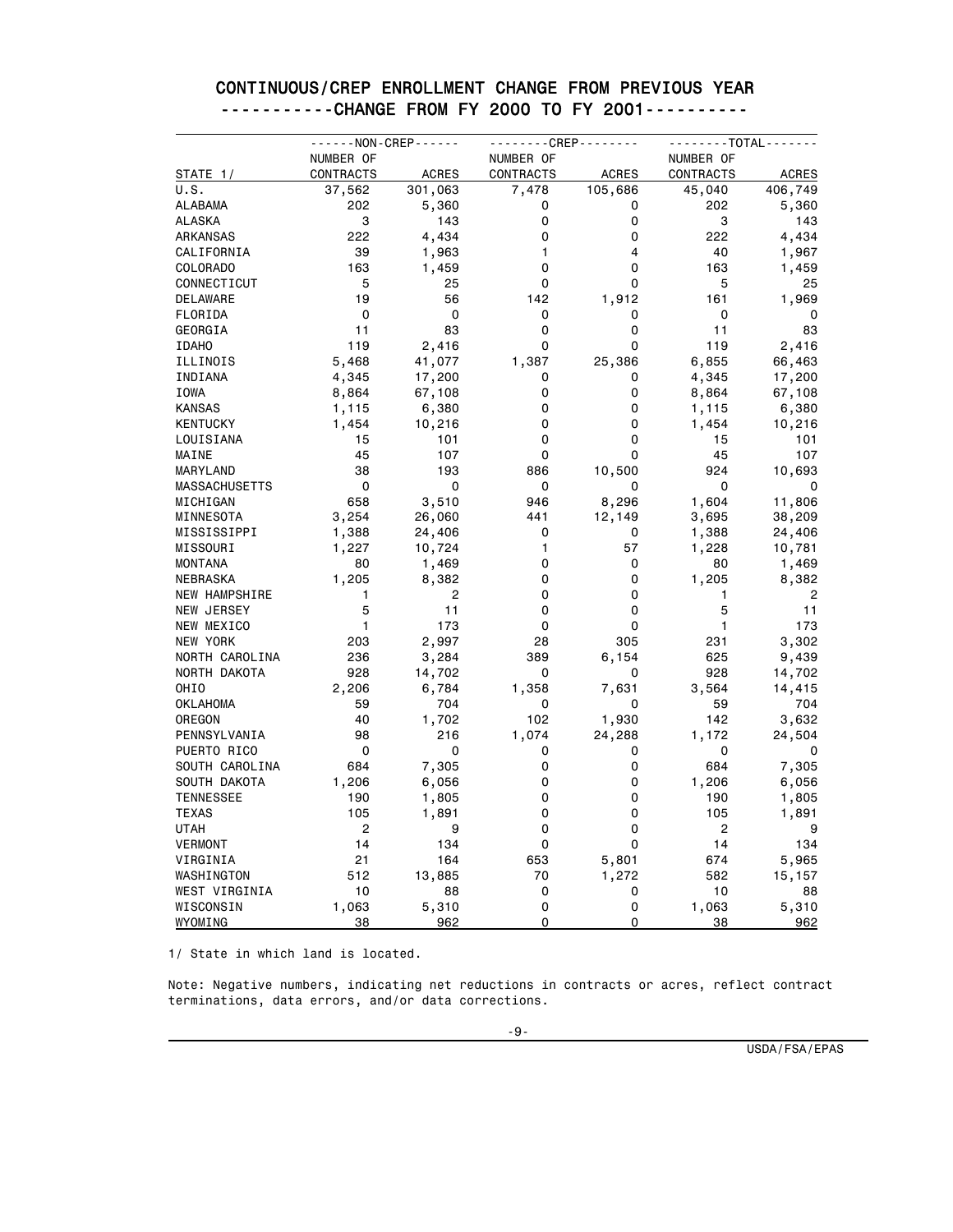|                      | - - - - - - NON - CREP - - - - - - |              | - - - - - - - - CREP - - - - - - - - |              | - - - - - - - TOTAL - - - - - - |              |
|----------------------|------------------------------------|--------------|--------------------------------------|--------------|---------------------------------|--------------|
|                      | NUMBER OF                          |              | NUMBER OF                            |              | NUMBER OF                       |              |
| STATE 1/             | <b>CONTRACTS</b>                   | <b>ACRES</b> | <b>CONTRACTS</b>                     | <b>ACRES</b> | <b>CONTRACTS</b>                | <b>ACRES</b> |
| U.S.                 | 37,562                             | 301,063      | 7,478                                | 105,686      | 45,040                          | 406,749      |
| ALABAMA              | 202                                | 5,360        | 0                                    | 0            | 202                             | 5,360        |
| <b>ALASKA</b>        | 3                                  | 143          | 0                                    | 0            | 3                               | 143          |
| ARKANSAS             | 222                                | 4,434        | 0                                    | 0            | 222                             | 4,434        |
| CALIFORNIA           | 39                                 | 1,963        | 1                                    | 4            | 40                              | 1,967        |
| COLORADO             | 163                                | 1,459        | 0                                    | 0            | 163                             | 1,459        |
| CONNECTICUT          | 5                                  | 25           | 0                                    | 0            | 5                               | 25           |
| DELAWARE             | 19                                 | 56           | 142                                  | 1,912        | 161                             | 1,969        |
| FLORIDA              | 0                                  | 0            | 0                                    | 0            | 0                               | 0            |
| GEORGIA              | 11                                 | 83           | 0                                    | 0            | 11                              | 83           |
| <b>IDAHO</b>         | 119                                | 2,416        | 0                                    | 0            | 119                             | 2,416        |
| ILLINOIS             | 5,468                              | 41,077       | 1,387                                | 25,386       | 6,855                           | 66,463       |
| INDIANA              | 4,345                              | 17,200       | 0                                    | 0            | 4,345                           | 17,200       |
| IOWA                 | 8,864                              | 67,108       | 0                                    | 0            | 8,864                           | 67,108       |
| <b>KANSAS</b>        | 1,115                              | 6,380        | 0                                    | 0            | 1,115                           | 6,380        |
| <b>KENTUCKY</b>      | 1,454                              | 10,216       | 0                                    | 0            | 1,454                           | 10,216       |
| LOUISIANA            | 15                                 | 101          | 0                                    | 0            | 15                              | 101          |
| MAINE                | 45                                 | 107          | 0                                    | $\Omega$     | 45                              | 107          |
| MARYLAND             | 38                                 | 193          | 886                                  | 10,500       | 924                             | 10,693       |
| <b>MASSACHUSETTS</b> | 0                                  | 0            | 0                                    | 0            | 0                               | 0            |
| MICHIGAN             | 658                                | 3,510        | 946                                  | 8,296        | 1,604                           | 11,806       |
| MINNESOTA            | 3,254                              | 26,060       | 441                                  | 12,149       | 3,695                           | 38,209       |
| MISSISSIPPI          | 1,388                              | 24,406       | 0                                    | 0            | 1,388                           | 24,406       |
| MISSOURI             | 1,227                              | 10,724       | 1                                    | 57           | 1,228                           | 10,781       |
| <b>MONTANA</b>       | 80                                 | 1,469        | 0                                    | 0            | 80                              | 1,469        |
| NEBRASKA             | 1,205                              | 8,382        | 0                                    | 0            | 1,205                           | 8,382        |
| <b>NEW HAMPSHIRE</b> | 1                                  | 2            | 0                                    | 0            | 1                               | 2            |
| NEW JERSEY           | 5                                  | 11           | 0                                    | 0            | 5                               | 11           |
| NEW MEXICO           | 1                                  | 173          | 0                                    | 0            | 1                               | 173          |
| NEW YORK             | 203                                | 2,997        | 28                                   | 305          | 231                             | 3,302        |
| NORTH CAROLINA       | 236                                | 3,284        | 389                                  | 6,154        | 625                             | 9,439        |
| NORTH DAKOTA         | 928                                | 14,702       | 0                                    | 0            | 928                             | 14,702       |
| OHIO                 | 2,206                              | 6,784        | 1,358                                | 7,631        | 3,564                           | 14,415       |
| OKLAHOMA             | 59                                 | 704          | 0                                    | 0            | 59                              | 704          |
| OREGON               | 40                                 | 1,702        | 102                                  | 1,930        | 142                             | 3,632        |
| PENNSYLVANIA         | 98                                 | 216          | 1,074                                | 24,288       | 1,172                           | 24,504       |
| PUERTO RICO          | 0                                  | 0            | 0                                    | 0            | 0                               | 0            |
| SOUTH CAROLINA       | 684                                | 7,305        | 0                                    | 0            | 684                             | 7,305        |
| SOUTH DAKOTA         | 1,206                              | 6,056        | 0                                    | 0            | 1,206                           | 6,056        |
| <b>TENNESSEE</b>     | 190                                | 1,805        | 0                                    | 0            | 190                             | 1,805        |
| TEXAS                | 105                                | 1,891        | 0                                    | 0            | 105                             | 1,891        |
| UTAH                 | 2                                  | 9            | 0                                    | 0            | 2                               | 9            |
| <b>VERMONT</b>       | 14                                 | 134          | 0                                    | 0            | 14                              | 134          |
| VIRGINIA             | 21                                 | 164          | 653                                  | 5,801        | 674                             | 5,965        |
| WASHINGTON           | 512                                | 13,885       | 70                                   | 1,272        | 582                             | 15,157       |
| WEST VIRGINIA        | 10                                 | 88           | 0                                    | 0            | 10                              | 88           |
| WISCONSIN            | 1,063                              | 5,310        | 0                                    | 0            | 1,063                           | 5,310        |
| WYOMING              | 38                                 | 962          | 0                                    | $\Omega$     | 38                              | 962          |

#### CONTINUOUS/CREP ENROLLMENT CHANGE FROM PREVIOUS YEAR -----------CHANGE FROM FY 2000 TO FY 2001----------

1/ State in which land is located.

Note: Negative numbers, indicating net reductions in contracts or acres, reflect contract terminations, data errors, and/or data corrections.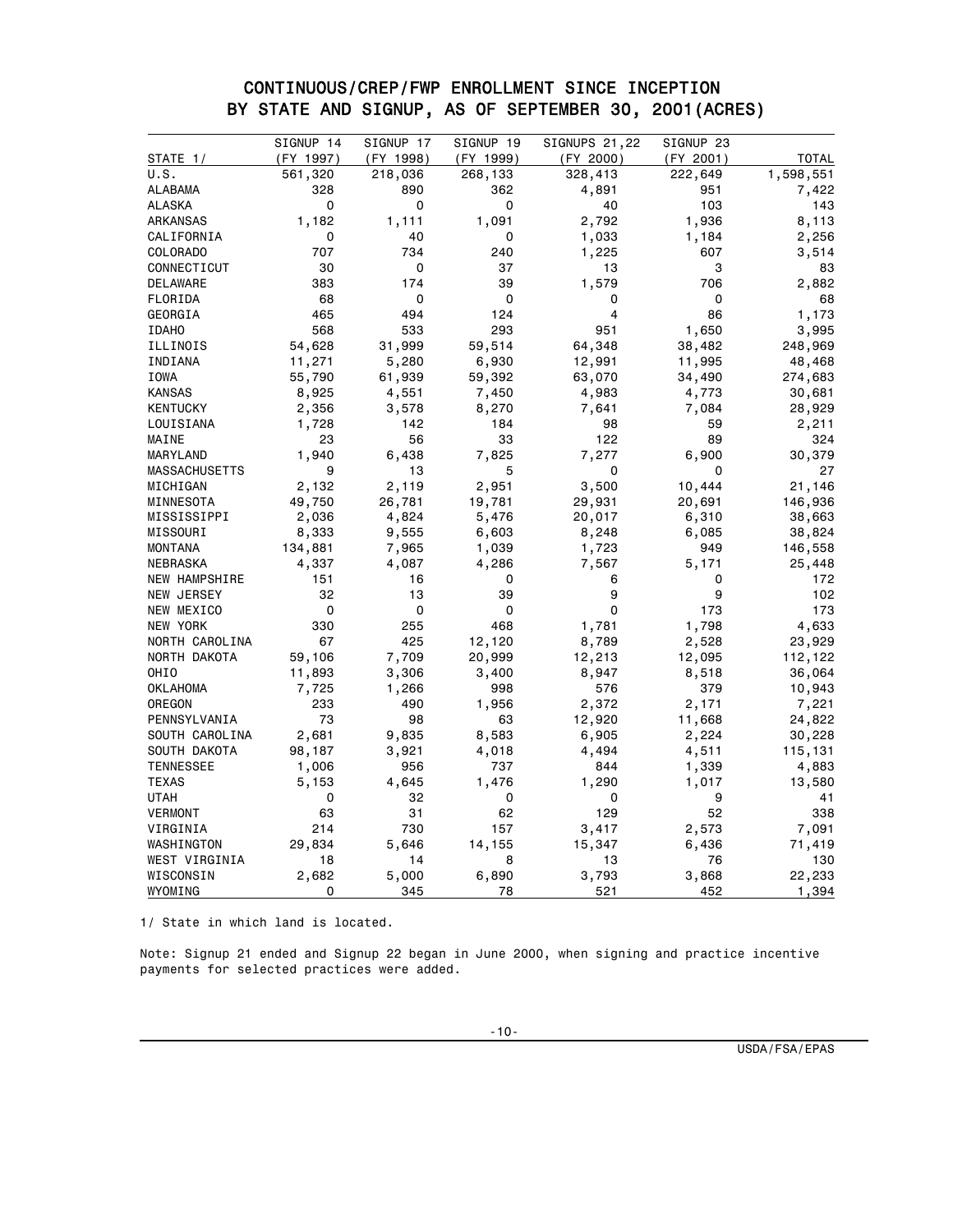#### CONTINUOUS/CREP/FWP ENROLLMENT SINCE INCEPTION BY STATE AND SIGNUP, AS OF SEPTEMBER 30, 2001(ACRES)

|                      | SIGNUP 14  | SIGNUP 17    | SIGNUPS 21,22<br>SIGNUP 19 |              | SIGNUP 23    |                 |
|----------------------|------------|--------------|----------------------------|--------------|--------------|-----------------|
| STATE 1/             | (FY 1997)  | (FY 1998)    | (FY 1999)                  | (FY 2000)    | (FY 2001)    | <b>TOTAL</b>    |
| U.S.                 | 561,320    | 218,036      | 268,133                    | 328,413      | 222,649      | 1,598,551       |
| <b>ALABAMA</b>       | 328        | 890          | 362                        | 4,891        | 951          | 7,422           |
| <b>ALASKA</b>        | 0          | 0            | 0                          | 40           | 103          | 143             |
| ARKANSAS             | 1,182      | 1,111        | 1,091                      | 2,792        | 1,936        | 8,113           |
| CALIFORNIA           | 0          | 40           | 0                          | 1,033        | 1,184        | 2,256           |
| COLORADO             | 707        | 734          | 240                        | 1,225        | 607          | 3,514           |
| CONNECTICUT          | 30         | 0            | 37                         | 13           | 3            | 83              |
| DELAWARE             | 383        | 174          | 39                         | 1,579        | 706          | 2,882           |
| FLORIDA              | 68         | 0            | 0                          | 0            | 0            | 68              |
| GEORGIA              | 465        | 494          | 124                        | 4            | 86           | 1,173           |
| <b>IDAHO</b>         | 568        | 533          | 293                        | 951          | 1,650        | 3,995           |
| ILLINOIS             | 54,628     | 31,999       | 59,514                     | 64,348       | 38,482       | 248,969         |
| INDIANA              | 11,271     | 5,280        | 6,930                      | 12,991       | 11,995       | 48,468          |
| IOWA                 | 55,790     | 61,939       | 59,392                     | 63,070       | 34,490       | 274,683         |
| <b>KANSAS</b>        | 8,925      | 4,551        | 7,450                      | 4,983        | 4,773        | 30,681          |
| <b>KENTUCKY</b>      | 2,356      | 3,578        | 8,270                      | 7,641        | 7,084        | 28,929          |
| LOUISIANA            | 1,728      | 142          | 184                        | 98           | 59           | 2,211           |
| MAINE                | 23         | 56           | 33                         | 122          | 89           | 324             |
| MARYLAND             | 1,940      | 6,438        | 7,825                      | 7,277        | 6,900        | 30,379          |
| <b>MASSACHUSETTS</b> | 9          | 13           | 5                          | 0            | 0            | 27              |
| MICHIGAN             | 2,132      | 2,119        | 2,951                      | 3,500        | 10,444       | 21,146          |
| MINNESOTA            | 49,750     | 26,781       | 19,781                     | 29,931       | 20,691       | 146,936         |
| MISSISSIPPI          | 2,036      | 4,824        | 5,476                      | 20,017       | 6,310        | 38,663          |
| MISSOURI             | 8,333      | 9,555        | 6,603                      | 8,248        | 6,085        | 38,824          |
| <b>MONTANA</b>       | 134,881    | 7,965        | 1,039                      | 1,723        | 949          | 146,558         |
| NEBRASKA             | 4,337      | 4,087        | 4,286                      | 7,567        | 5,171        | 25,448          |
| NEW HAMPSHIRE        | 151        | 16           | 0                          | 6            | 0            | 172             |
| NEW JERSEY           | 32         | 13           | 39                         | 9            | 9            | 102             |
| NEW MEXICO           | 0          | 0            | 0                          | 0            | 173          | 173             |
| NEW YORK             | 330        | 255          | 468                        | 1,781        | 1,798        | 4,633           |
| NORTH CAROLINA       | 67         | 425          | 12,120                     | 8,789        | 2,528        | 23,929          |
| NORTH DAKOTA         | 59,106     | 7,709        | 20,999                     | 12,213       | 12,095       | 112,122         |
| OHIO                 | 11,893     | 3,306        | 3,400                      | 8,947        | 8,518        | 36,064          |
| <b>OKLAHOMA</b>      | 7,725      | 1,266        | 998                        | 576          | 379          | 10,943          |
| OREGON               | 233        | 490          | 1,956                      | 2,372        | 2,171        | 7,221           |
| PENNSYLVANIA         | 73         | 98           | 63                         | 12,920       | 11,668       | 24,822          |
| SOUTH CAROLINA       | 2,681      | 9,835        | 8,583                      | 6,905        | 2,224        | 30,228          |
| SOUTH DAKOTA         | 98,187     | 3,921        | 4,018                      | 4,494        | 4,511        | 115,131         |
| <b>TENNESSEE</b>     | 1,006      | 956          | 737                        | 844          | 1,339        | 4,883           |
| <b>TEXAS</b>         | 5,153      | 4,645        | 1,476                      | 1,290        | 1,017        | 13,580          |
| <b>UTAH</b>          | 0          | 32           | 0                          | 0            | 9            | 41              |
| <b>VERMONT</b>       | 63         | 31           | 62                         | 129          | 52           | 338             |
| VIRGINIA             | 214        | 730          | 157                        | 3,417        | 2,573        | 7,091           |
| WASHINGTON           | 29,834     | 5,646        | 14,155                     | 15,347       | 6,436        | 71,419          |
| WEST VIRGINIA        | 18         | 14           | 8                          | 13           | 76           | 130             |
| WISCONSIN            | 2,682<br>0 | 5,000<br>345 | 6,890<br>78                | 3,793<br>521 | 3,868<br>452 | 22,233<br>1,394 |
| WYOMING              |            |              |                            |              |              |                 |

1/ State in which land is located.

Note: Signup 21 ended and Signup 22 began in June 2000, when signing and practice incentive payments for selected practices were added.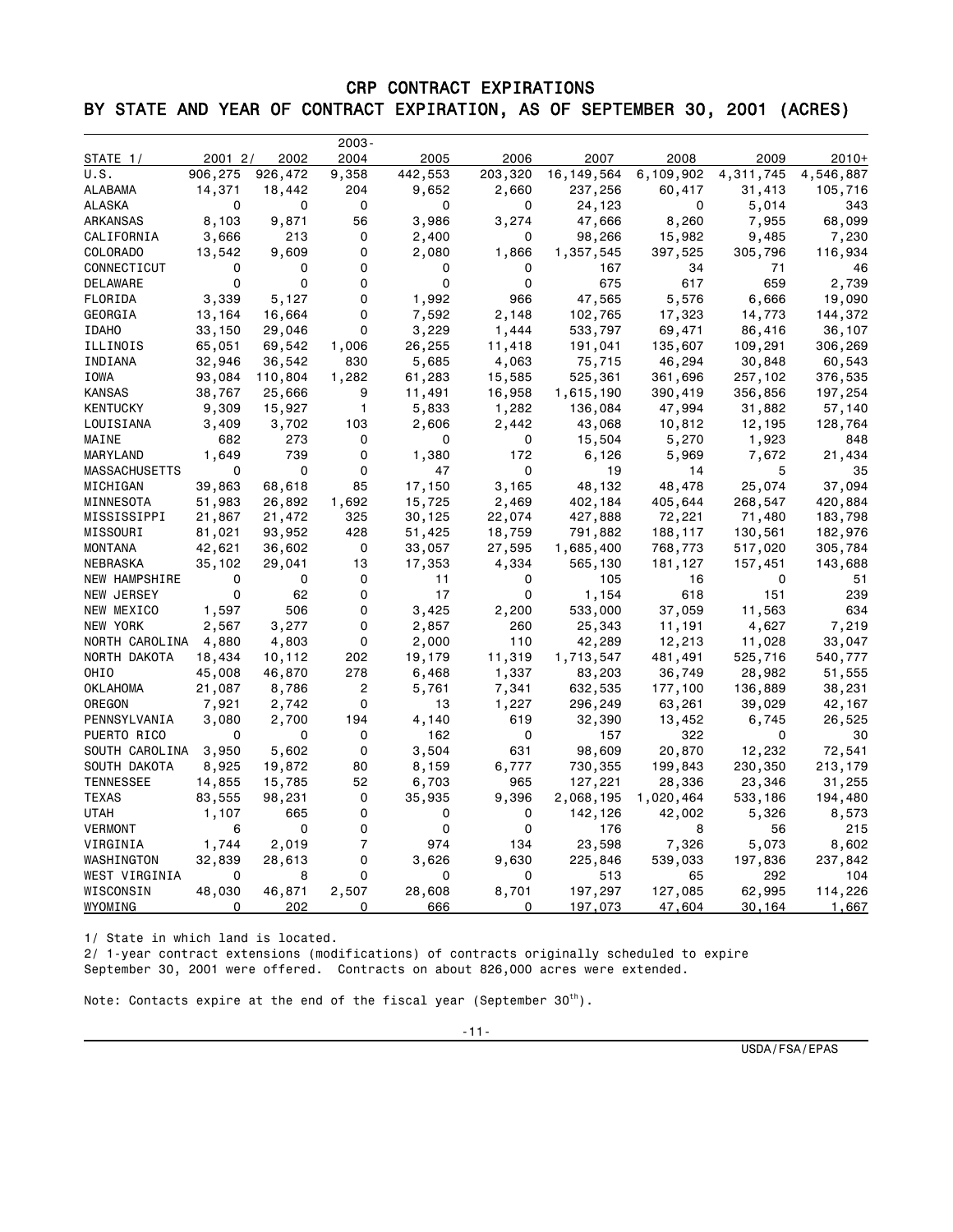## CRP CONTRACT EXPIRATIONS BY STATE AND YEAR OF CONTRACT EXPIRATION, AS OF SEPTEMBER 30, 2001 (ACRES)

|                |         |             | $2003 -$   |         |         |            |           |           |           |
|----------------|---------|-------------|------------|---------|---------|------------|-----------|-----------|-----------|
| STATE 1/       | 2001 2/ | 2002        | 2004       | 2005    | 2006    | 2007       | 2008      | 2009      | $2010+$   |
| U.S.           | 906,275 | 926,472     | 9,358      | 442,553 | 203,320 | 16,149,564 | 6,109,902 | 4,311,745 | 4,546,887 |
| ALABAMA        | 14,371  | 18,442      | 204        | 9,652   | 2,660   | 237,256    | 60,417    | 31,413    | 105,716   |
| ALASKA         | 0       | 0           | 0          | 0       | 0       | 24,123     | 0         | 5,014     | 343       |
| ARKANSAS       | 8,103   | 9,871       | 56         | 3,986   | 3,274   | 47,666     | 8,260     | 7,955     | 68,099    |
| CALIFORNIA     | 3,666   | 213         | 0          | 2,400   | 0       | 98,266     | 15,982    | 9,485     | 7,230     |
| COLORADO       | 13,542  | 9,609       | 0          | 2,080   | 1,866   | 1,357,545  | 397,525   | 305,796   | 116,934   |
| CONNECTICUT    | 0       | 0           | 0          | 0       | 0       | 167        | 34        | 71        | 46        |
| DELAWARE       | 0       | $\mathbf 0$ | 0          | 0       | 0       | 675        | 617       | 659       | 2,739     |
| FLORIDA        | 3,339   | 5,127       | 0          | 1,992   | 966     | 47,565     | 5,576     | 6,666     | 19,090    |
| GEORGIA        | 13,164  | 16,664      | 0          | 7,592   | 2,148   | 102,765    | 17,323    | 14,773    | 144,372   |
| <b>IDAHO</b>   | 33,150  | 29,046      | 0          | 3,229   | 1,444   | 533,797    | 69,471    | 86,416    | 36,107    |
| ILLINOIS       | 65,051  | 69,542      | 1,006      | 26,255  | 11,418  | 191,041    | 135,607   | 109,291   | 306,269   |
| INDIANA        | 32,946  | 36,542      | 830        | 5,685   | 4,063   | 75,715     | 46,294    | 30,848    | 60,543    |
| IOWA           | 93,084  | 110,804     | 1,282      | 61,283  | 15,585  | 525,361    | 361,696   | 257,102   | 376,535   |
| <b>KANSAS</b>  | 38,767  | 25,666      | 9          | 11,491  | 16,958  | 1,615,190  | 390,419   | 356,856   | 197,254   |
| KENTUCKY       | 9,309   | 15,927      | 1          | 5,833   | 1,282   | 136,084    | 47,994    | 31,882    | 57,140    |
| LOUISIANA      | 3,409   | 3,702       | 103        | 2,606   | 2,442   | 43,068     | 10,812    | 12,195    | 128,764   |
| MAINE          | 682     | 273         | 0          | 0       | 0       | 15,504     | 5,270     | 1,923     | 848       |
| MARYLAND       | 1,649   | 739         | 0          | 1,380   | 172     | 6,126      | 5,969     | 7,672     | 21,434    |
| MASSACHUSETTS  | 0       | 0           | 0          | 47      | 0       | 19         | 14        | 5         | 35        |
| MICHIGAN       | 39,863  | 68,618      | 85         | 17,150  | 3,165   | 48,132     | 48,478    | 25,074    | 37,094    |
| MINNESOTA      | 51,983  | 26,892      | 1,692      | 15,725  | 2,469   | 402,184    | 405,644   | 268,547   | 420,884   |
| MISSISSIPPI    | 21,867  | 21,472      | 325        | 30,125  | 22,074  | 427,888    | 72,221    | 71,480    | 183,798   |
| MISSOURI       | 81,021  | 93,952      | 428        | 51,425  | 18,759  | 791,882    | 188,117   | 130,561   | 182,976   |
| <b>MONTANA</b> | 42,621  | 36,602      | 0          | 33,057  | 27,595  | 1,685,400  | 768,773   | 517,020   | 305,784   |
| NEBRASKA       | 35,102  | 29,041      | 13         | 17,353  | 4,334   | 565,130    | 181,127   | 157,451   | 143,688   |
| NEW HAMPSHIRE  | 0       | 0           | 0          | 11      | 0       | 105        | 16        | 0         | 51        |
| NEW JERSEY     | 0       | 62          | 0          | 17      | 0       | 1,154      | 618       | 151       | 239       |
| NEW MEXICO     | 1,597   | 506         | 0          | 3,425   | 2,200   | 533,000    | 37,059    | 11,563    | 634       |
| NEW YORK       | 2,567   | 3,277       | 0          | 2,857   | 260     | 25,343     | 11,191    | 4,627     | 7,219     |
| NORTH CAROLINA | 4,880   | 4,803       | 0          | 2,000   | 110     | 42,289     | 12,213    | 11,028    | 33,047    |
| NORTH DAKOTA   | 18,434  |             |            |         | 11,319  | 1,713,547  |           |           | 540,777   |
| OHIO           |         | 10,112      | 202<br>278 | 19,179  |         |            | 481,491   | 525,716   |           |
|                | 45,008  | 46,870      |            | 6,468   | 1,337   | 83,203     | 36,749    | 28,982    | 51,555    |
| OKLAHOMA       | 21,087  | 8,786       | 2          | 5,761   | 7,341   | 632,535    | 177,100   | 136,889   | 38,231    |
| OREGON         | 7,921   | 2,742       | 0          | 13      | 1,227   | 296,249    | 63,261    | 39,029    | 42,167    |
| PENNSYLVANIA   | 3,080   | 2,700       | 194        | 4,140   | 619     | 32,390     | 13,452    | 6,745     | 26,525    |
| PUERTO RICO    | 0       | 0           | 0          | 162     | 0       | 157        | 322       | 0         | 30        |
| SOUTH CAROLINA | 3,950   | 5,602       | 0          | 3,504   | 631     | 98,609     | 20,870    | 12,232    | 72,541    |
| SOUTH DAKOTA   | 8,925   | 19,872      | 80         | 8,159   | 6,777   | 730,355    | 199,843   | 230,350   | 213,179   |
| TENNESSEE      | 14,855  | 15,785      | 52         | 6,703   | 965     | 127,221    | 28,336    | 23,346    | 31,255    |
| TEXAS          | 83,555  | 98,231      | 0          | 35,935  | 9,396   | 2,068,195  | 1,020,464 | 533,186   | 194,480   |
| UTAH           | 1,107   | 665         | 0          | 0       | 0       | 142,126    | 42,002    | 5,326     | 8,573     |
| VERMONT        | 6       | 0           | 0          | 0       | 0       | 176        | 8         | 56        | 215       |
| VIRGINIA       | 1,744   | 2,019       | 7          | 974     | 134     | 23,598     | 7,326     | 5,073     | 8,602     |
| WASHINGTON     | 32,839  | 28,613      | 0          | 3,626   | 9,630   | 225,846    | 539,033   | 197,836   | 237,842   |
| WEST VIRGINIA  | 0       | 8           | 0          | 0       | 0       | 513        | 65        | 292       | 104       |
| WISCONSIN      | 48,030  | 46,871      | 2,507      | 28,608  | 8,701   | 197,297    | 127,085   | 62,995    | 114,226   |
| WYOMING        | 0       | 202         | 0          | 666     | 0       | 197,073    | 47,604    | 30,164    | 1,667     |

1/ State in which land is located.

 $\overline{\phantom{0}}$ 

2/ 1-year contract extensions (modifications) of contracts originally scheduled to expire September 30, 2001 were offered. Contracts on about 826,000 acres were extended.

Note: Contacts expire at the end of the fiscal year (September  $30<sup>th</sup>$ ).

USDA/FSA/EPAS